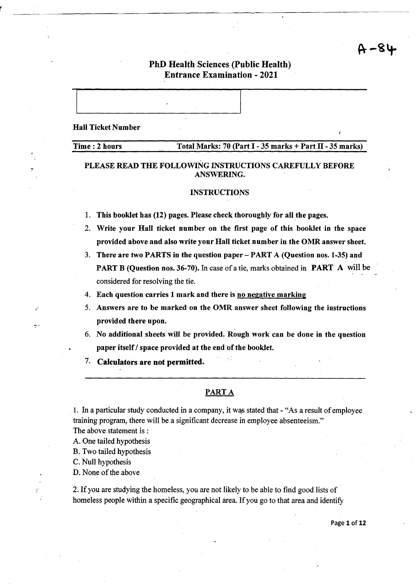# 4-84

### PhD Health Sciences (Public Health) Entrance Examination - 2021

Hall Ticket Number

#### Time: 2 hours Total Marks: 70 (Part I - 35 marks + Part II - 35 marks)

#### PLEASE READ THE FOLLOWING INSTRUCTIONS CAREFULLY BEFORE ANSWERING.

#### INSTRUCTIONS

- 1. This booklet has (12) pages. Please check thoroughly for all the pages.
- 2. Write your Hall ticket number on the first page of this booklet in the space provided above and also write your Hall ticket number in the OMR answer sheet.
- 3. There are two PARTS in the question paper PART A (Question nos. 1-35) and PART B (Question nos. 36-70). In case of a tie, marks obtained in PART A will be considered for resolving the tie.
- 4. Each question carries 1 mark and there is no negative marking
- 5. Answers are to be marked on the OMR answer sheet following the instructions provided there upon.
- 6. No additional sheets will be provided. Rough work can be done in the question paper itself / space provided at the end of the booklet.
- 7. Calculators are not permitted.

#### PART A

1. In a particular study conducted in a company, it was stated that - "As a result of employee training program, there will be a significant decrease in employee absenteeism." The above statement is :

A. One tailed hypothesis

B. Two tailed hypothesis

C. Null hypothesis

 $~\tilde{}$ 

 $\sim$ 

D. None of the above

2. If you are studying the homeless, you are not likely to be able to find good lists of homeless people within a specific geographical area. If you go to that area and identify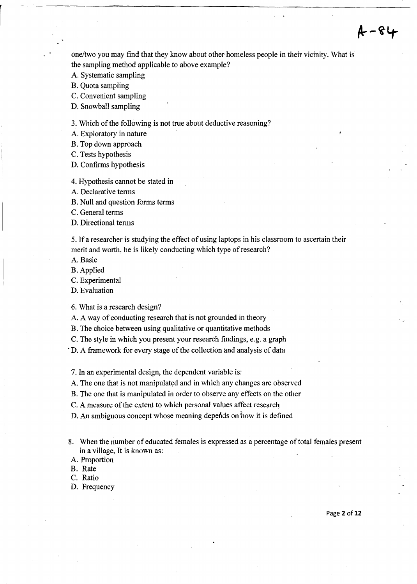one/two you may fmd that they know about other homeless people in their vicinity. What is the sampling method applicable to above example?

A. Systematic sampling

B. Quota sampling

C. Convenient sampling

D. Snowball sampling

3. Which of the following is not true about deductive reasoning?

A. Exploratory in nature

B. Top down approach

C. Tests hypothesis

D. Confirms hypothesis

4. Hypothesis cannot be stated in

A. Declarative terms

B. Null and question forms terms

C. General terms

D. Directional terms

5. If a researcher is studying the effect of using laptops in his classroom to ascertain their merit and worth, he is likely conducting which type of research?

A. Basic

B. Applied

C. Experimental

D. Evaluation

6. What is a research design?

A. A way of conducting research that is not grounded in theory

B. The choice between using qualitative or quantitative methods

C. The style in which you present your research findings, e.g. a graph

• D. A framework for every stage of the collection and analysis of data

7. In an experimental design, the dependent variable is:

A. The one that is not manipulated and in which any changes are observed

B. The one that is manipulated in order to observe any effects on the other

C. A measure of the extent to which personal values affect research

D. An ambiguous concept whose meaning depends on how it is defined

8. When the number of educated females is expressed as a percentage of total females present in a village, It is known as:

A. Proportion

B. Rate

C. Ratio

D. Frequency

Page **2of12** 

 $A - 84$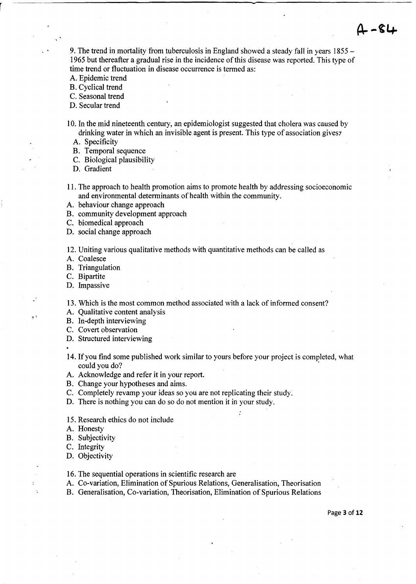9. The trend in mortality from tuberculosis in England showed a steady fall in years 1855- 1965 but thereafter a gradual rise in the incidence of this disease was reported. This type of time trend or fluctuation in disease occurrence is tenned as:

- A. Epidemic trend
- B. Cyclical trend

C. Seasonal trend

D. Secular trend

10. In the mid nineteenth century, an epidemiologist suggested that cholera was caused by drinking water in which an invisible agent is present. This type of association gives:

A. Specificity

B. Temporal sequence

C. Biological plausibility

D. Gradient

- 11. The approach to health promotion aims to promote health by addressing socioeconomic and environmental determinants of health within the community.
- A. behaviour change approach

B. community development approach

C. biomedical approach

D. social change approach

12. Uniting various qualitative methods with quantitative methods can be called as

A. Coalesce

B. Triangulation

C. Bipartite

 $\sim$   $^{\circ}$ 

D. Impassive

13. Which is the most common method associated with a lack of informed consent?

A. Qualitative content analysis

B. In-depth interviewing

C. Covert observation

D. Structured interviewing

14. If you find some published work similar to yours before your project is completed, what could you do?

A. Acknowledge and refer it in your report.

B. Change your hypotheses and aims.

C. Completely revamp your ideas so you are not replicating their study:

D. There is nothing you can do so do not mention it in your study.

15. Research ethics do not include

A. Honesty

B. Subjectivity

C. Integrity

D. Objectivity

16. The sequential operations in scientific research are

A. Co-variation, Elimination of Spurious Relations, Generalisation, Theorisation

B. Generalisation, Co-variation, Theorisation, Elimination of Spurious Relations

Page 3 of **12**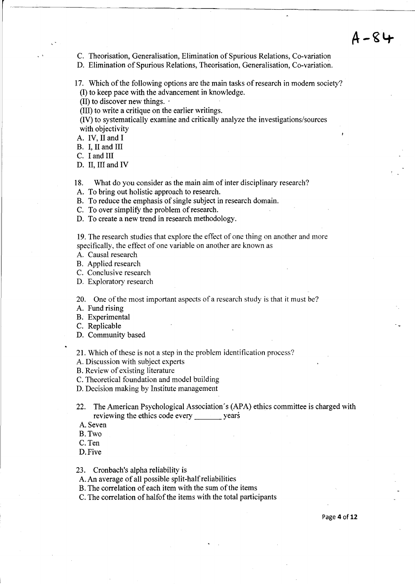$A - 84$ 

C. Theorisation, Generalisation, Elimination of Spurious Relations, Co-variation

D. Elimination of Spurious Relations, Theorisation, Generalisation, Co-variation.

17. Which of the following options are the main tasks of research in modem society? (I) to keep pace with the advancement in knowledge.

(II) to discover new things.  $\cdot$ 

(III) to write a critique on the earlier writings.

(IV) to systematically examine and critically analyze the investigations/sources with objectivity

A. IV, II and I

B. I, II and III

C. I and III

D. II, III and IV

18. What do you consider as the main aim of inter disciplinary research?

A. To bring out holistic approach to research.

B. To reduce the emphasis of single subject in research domain.

C. To over simplify the problem of research.

D. To create a new trend in research methodology.

19. The research studies that explore the effect of one thing on another and more specifically, the effect of one variable on another are known as

A. Causal research

B. AppJied research

C. Conclusive research

D. Exploratory research

20. One of the most important aspects of a research study is that it must be?

A. Fund rising

B. Experimental

C. Replicable

D. Community based

21. Which of these is not a step in the problem identification process?

A. Discussion with subject experts

B. Review of existing literature

C. Theoretical foundation and model building

D. Decision making by Institute management

22. The American Psychological Association's (APA) ethics committee is charged with reviewing the ethics code every years

A. Seven

B.Two

C.Ten

D.Five

23. Cronbach's alpha reliability is

A. An average of all possible split-half reliabilities

B. The correlation of each item with the sum of the items

C. The correlation of half of the items with the total participants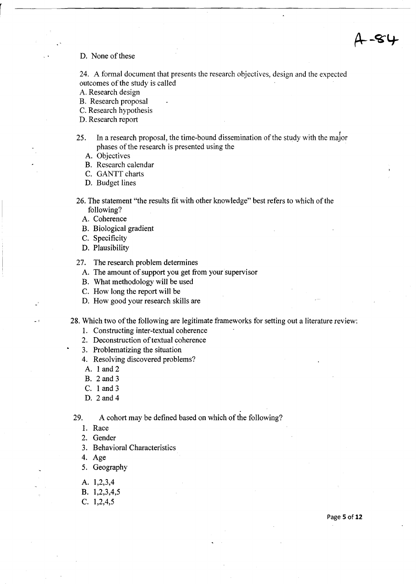#### D. None of these

24. A formal document that presents the research objectives, design and the expected outcomes of the study is called

A. Research design

B. Research proposal

C. Research hypothesis

D. Research report

- 25. In a research proposal, the time-bound dissemination of the study with the major phases of the research is presented using the
	- A. Objectives

B. Research calendar

C. GANTT charts

D. Budget lines

26. The statement "the results fit with other knowledge" best refers to which of the following?

A. Coherence

B. Biological gradient

C. Specificity

D. Plausibility

27. The research problem determines

- A. The amount of support you get from your supervisor
- B. What methodology will be used
- C. How long the report will be
- D. How good your research skills are
- 28. Which two ofthe following are legitimate frameworks for setting out a literature review:
	- 1. Constructing inter-textual coherence
	- 2. Deconstruction of textual coherence
	- 3. Problematizing the situation
	- 4. Resolving discovered problems?
	- A. 1 and 2
	- B. 2 and 3
	- C. 1 and 3
	- D. 2 and 4

29. A cohort may be defined based on which of the following?

1. Race

- 2. Gender
- 3. Behavioral Characteristics
- 4. Age
- 5. Geography
- A. 1,2,3,4
- B. 1,2,3,4,5
- C. 1,2,4,5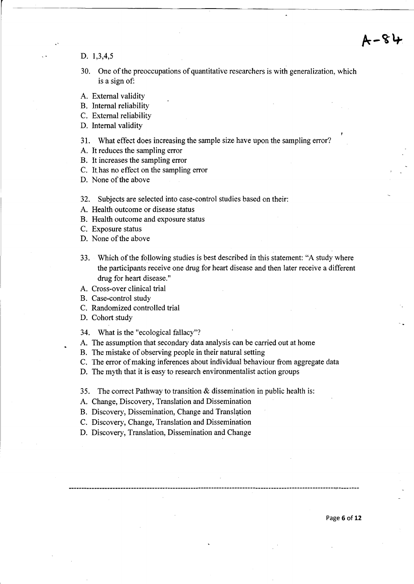4-84

D. 1,3,4,5

- 30. One of the preoccupations of quantitative researchers is with generalization, which is a sign of:
- A. External validity
- B. Internal reliability
- C. External reliability
- D. Internal validity
- 31. What effect does increasing the sample size have upon the sampling error?
- A. It reduces the sampling error
- B. It increases the sampling error
- C. It has no effect on the sampling error
- D. None of the above
- 32. Subjects are selected into case-control studies based on their:
- A. Health outcome or disease status
- B. Health outcome and exposure status
- C. Exposure status
- D. None of the above
- 33. Which of the following studies is best described in this statement: "A study where the participants receive one drug for heart disease and then later receive a different drug for heart disease."
- A. Cross-over clinical trial
- B. Case-control study
- C. Randomized controlled trial
- D. Cohort study
- 34. What is the "ecological fallacy"?
- A. The assumption that secondary data analysis can be carried out at home
- B. The mistake of observing people in their natural setting
- C. The error of making inferences about individual behaviour from aggregate data
- D. The myth that it is easy to research environmentalist action groups
- 35. The correct Pathway to transition & dissemination in public health is:
- A. Change, Discovery, Translation and Dissemination
- B. Discovery, Dissemination, Change and Translation
- C. Discovery, Change, Translation and Dissemination
- D. Discovery, Translation, Dissemination and Change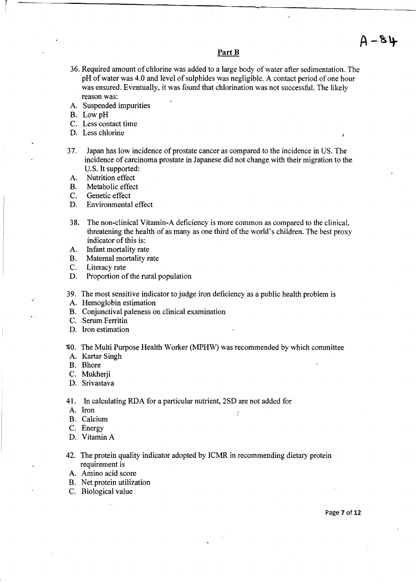#### **PartB**

- 36. Required amount of chlorine was added to a large body of water after sedimentation. The pH of water was 4.0 and level of sulphides was negligible. A contact period of one hour was ensured. Eventually, it was found that chlorination was not successful. The likely reason was:
- A. Suspended impurities
- B. LowpH

 $\vert$ 

- C. Less contact time
- D. Less chlorine
- 37. Japan has low incidence of prostate cancer as compared to the incidence in US. The incidence of carcinoma prostate in Japanese did not change with their migration to the U.S. It supported:
- A. Nutrition effect
- B. Metabolic effect
- C. Genetic effect
- D. Environmental effect
- 38. The non-clinical Vitamin-A deficiency is more common as compared to the clinical, threatening the health of as many as one third of the world's children. The best proxy indicator of this is:
- A. Infant mortality rate
- B. Maternal mortality rate
- C. Literacy rate
- D. Proportion of the rural population
- 39. The most sensitive indicator to judge iron deficiency as a public health problem is
- A. Hemoglobin estimation
- B. Conjunctival paleness on clinical examination
- C. Serum Ferritin
- D. Iron estimation

'40. The Multi Purpose Health Worker (MPHW) was recommended by which committee

ż

- A. Kartar Singh
- B. Bhore
- C. Mukherji
- D. Srivastava

41. In calculating RDA for a particular nutrient, 2SD are not added for

- A. Iron
- B. Calcium
- C. Energy
- D. Vitamin A
- 42. The protein quality indicator adopted by ICMR in recommending dietary protein requirement is
- A. Amino acid score
- B. Net protein utilization
- C. Biological value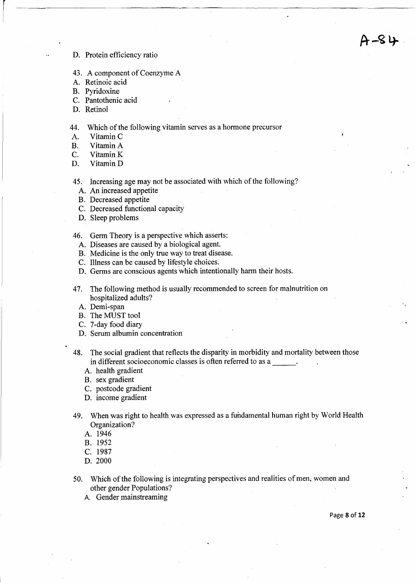- D. Protein efficiency ratio
- 43. A component of Coenzyme A
- A. Retinoic acid
- B. Pyridoxine
- C. Pantothenic acid
- D. Retinol

#### 44. Which of the following vitamin serves as a hormone precursor

- A. Vitamin C
- B. Vitamin A
- C. VitaminK
- D. Vitamin D
- 45. Increasing age may not be associated with which of the following?
	- A. An increased appetite
	- B. Decreased appetite
	- C. Decreased functional capacity
	- D. Sleep problems
- 46. Germ Theory is a perspective which asserts:
	- A. Diseases are caused by a biological agent.
	- B. Medicine is the only true way to treat disease.
	- C. Illness can be caused by lifestyle choices.
	- D. Germs are conscious agents which intentionally harm their hosts.
- 47. The following method is usually recommended to screen for malnutrition on hospitalized adults?
	- A. Demi-span
	- B. The MUST tool
	- C. 7-day food diary
	- D. Serum albumin concentration
- 48. The social gradient that reflects the disparity in morbidity and mortality between those in different socioeconomic classes is often referred to as a .
	- A. health gradient
	- B. sex gradient
	- C. postcode gradient
	- D. income gradient
- 49. When was right to health was expressed as a fundamental human right by World Health Organization?
	- A. 1946
	- B. 1952
	- C. 1987
	- D. 2000
- 50. Which of the following is integrating perspectives and realities of men, women and other gender Populations?
	- A. Gender mainstreaming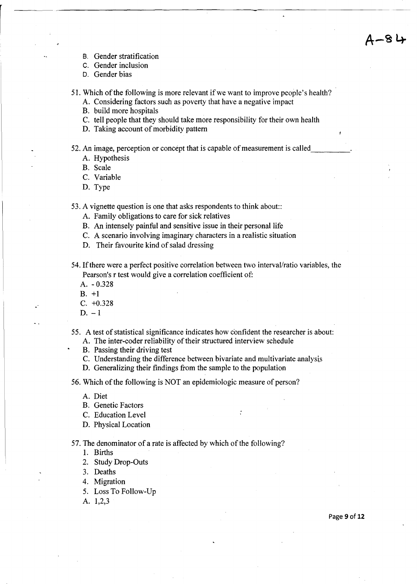B. Gender stratification

c. Gender inclusion

D. Gender bias

51. Which of the following is more relevant if we want to improve people's health?

- A. Considering factors such as poverty that have a negative impact
- B. build more hospitals
- C. tell people that they should take more responsibility for their own health
- D. Taking account of morbidity pattern
- 52. An image, perception or concept that is capable of measurement is called
	- A. Hypothesis

B. Scale

C. Variable

D. Type

53. A vignette question is one that asks respondents to think about::

- A. Family obligations to care for sick relatives
- B. An intensely painful and sensitive issue in their personal life
- C. A scenario involving imaginary characters in a realistic situation
- D. Their favourite kind of salad dressing
- 54. Ifthere were a perfect positive correlation between two interval/ratio variables, the Pearson's r test would give a correlation coefficient of:
	- A. 0.328
	- B. +1
	- $C. +0.328$
	- $D. -1$

55. A test of statistical significance indicates how confident the researcher is about:

- A. The inter-coder reliability of their structured interview schedule
- B. Passing their driving test
- C. Understanding the difference between bivariate and multivariate analysts
- D. Generalizing their findings from the sample to the population

56. Which of the following is NOT an epidemiologic measure of person?

- A. Diet
- B. Genetic Factors
- C. Education Level
- D. Physical Location

57. The denominator of a rate is affected by which of the following?

- 1. Births
- 2. Study Drop-Outs
- 3. Deaths
- 4. Migration
- 5. Loss To Follow-Up

A. 1,2,3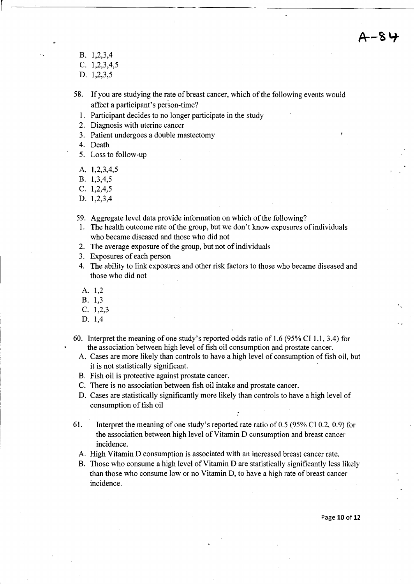A--84

- B. 1,2,3,4
- C. 1,2,3,4,5
- D. 1,2,3,5
- 58. If you are studying the rate of breast cancer, which of the following events would affect a participant's person-time?
	- 1. Participant decides to no longer participate in the study
	- 2. Diagnosis with uterine cancer
	- 3. Patient undergoes a double mastectomy
	- 4. Death
	- 5. Loss to follow-up
	- A. 1,2,3,4,5
	- B. 1,3,4,5
	- C. 1,2,4,5
	- D. 1,2,3,4
- 59. Aggregate level data provide information on which of the following?
- 1. The health outcome rate of the group, but we don't know exposures of individuals who became diseased and those who did not
- 2. The average exposure of the group, but not of individuals
- 3. Exposures of each person
- 4. The ability to link exposures and other risk factors to those who became diseased and those who did not
- A. 1,2
- B. 1,3
- C. 1,2,3
- D. 1,4
- 60. Interpret the meaning of one study's reported odds ratio of 1.6 (95% CI 1.1,3.4) for the association between high level of fish oil consumption and prostate cancer.
	- A. Cases are more likely than controls to have a high level of consumption of fish oil, but it is not statistically significant.
	- B. Fish oil is protective against prostate cancer.
	- C. There is no association between fish oil intake and prostate cancer.
	- D. Cases are statistically significantly more likely than controls to have a high level of consumption of fish oil
- 61. Interpret the meaning of one study's reported rate ratio of 0.5 (95% CI 0.2, 0.9) for the association between high level of Vitamin D consumption and breast cancer incidence.
	- A. High Vitamin D consumption is associated with an increased breast cancer rate.
	- B. Those who consume a high level of Vitamin D are statistically significantly less likely than those who consume low or no Vitamin D, to have a high rate of breast cancer incidence.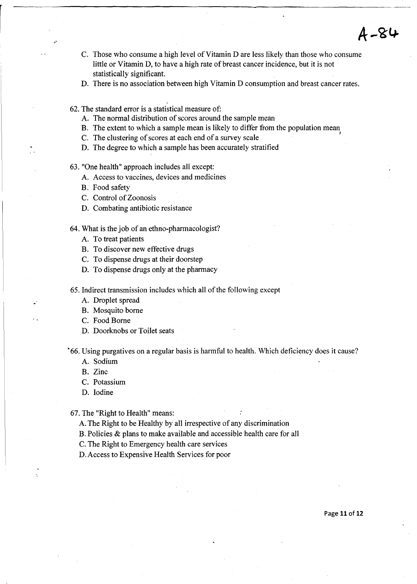# $A - 84$

- C. Those who consume a high level of Vitamin D are less likely than those who consume little or Vitamin D, to have a high rate of breast cancer incidence, but it is not statistically significant.
- D. There is no association between high Vitamin D consumption and breast cancer rates.
- 62. The standard error is a statistical measure of:
	- A. The normal distribution of scores around the sample mean
	- B. The extent to which a sample mean is likely to differ from the population mean
	- C. The clustering of scores at each end of a survey scale
	- D. The degree to which a sample has been accurately stratified
- 63. "One health" approach includes all except:
	- A. Access to vaccines, devices and medicines
	- B. Food safety
	- C. Control of Zoonosis
	- D. Combating antibiotic resistance

#### 64. What is the job of an ethno-pharmacologist?

- A. To treat patients
- B. To discover new effective drugs
- C. To dispense drugs at their doorstep
- D. To dispense drugs only at the pharmacy
- 65. Indirect transmission includes which all of the following except
	- A. Droplet spread
	- B. Mosquito borne
	- C. Food Borne
	- D. Doorknobs or Toilet seats

"66. Using purgatives on a regular basis is harmful to health. Which deficiency does it cause?

- A. Sodium
- B. Zinc
- C. Potassium
- D. Iodine

67. The "Right to Health" means:

- A. The Right to be Healthy by all irrespective of any discrimination
- B. Policies& plans to make available and accessible health care for all
- C. The Right to Emergency health care services
- D.Access to Expensive Health Services for poor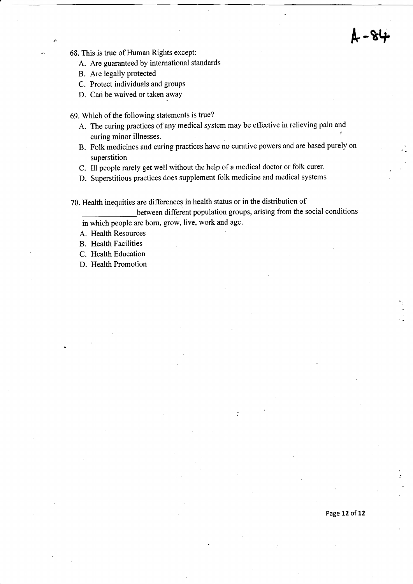68. This is true of Human Rights except:

A. Are guaranteed by international standards

- B. Are legally protected
- C. Protect individuals and groups
- D. Can be waived or taken away

69. Which of the following statements is true?

- A. The curing practices of any medical system may be effective in relieving pain and curing minor illnesses.
- B. Folk medicines and curing practices have no curative powers and are based purely on superstition
- C. III people rarely get well without the help of a medical doctor or folk curer.
- D. Superstitious practices does supplement folk medicine and medical systems

70. Health inequities are differences in health status or in the distribution of

between different population groups, arising from the social conditions in which people are born, grow, live, work and age.

A. Health Resources

- B. Health Facilities
- C. Health Education
- D. Health Promotion

Page **12 of 12**